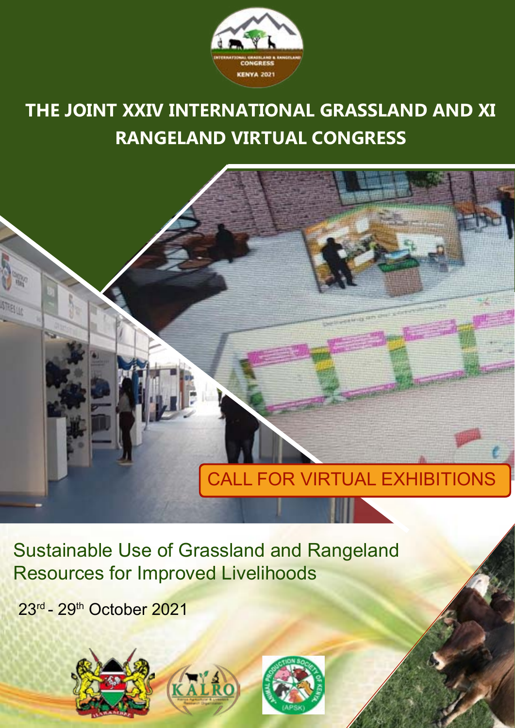

# **THE JOINT XXIV INTERNATIONAL GRASSLAND AND XI RANGELAND VIRTUAL CONGRESS**



Sustainable Use of Grassland and Rangeland Resources for Improved Livelihoods

23rd - 29th October 2021

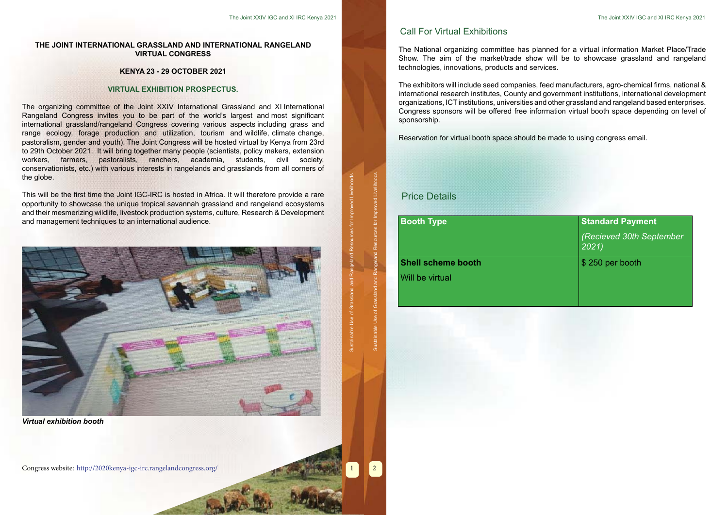1

The organizing committee of the Joint XXIV International Grassland and XI International Rangeland Congress invites you to be part of the world's largest and most significant international grassland/rangeland Congress covering various aspects including grass and range ecology, forage production and utilization, tourism and wildlife, climate change, pastoralism, gender and youth). The Joint Congress will be hosted virtual by Kenya from 23rd to 29th October 2021. It will bring together many people (scientists, policy makers, extension workers, farmers, pastoralists, ranchers, academia, students, civil society, conservationists, etc.) with various interests in rangelands and grasslands from all corners of the globe.

#### **THE JOINT INTERNATIONAL GRASSLAND AND INTERNATIONAL RANGELAND VIRTUAL CONGRESS**

#### **KENYA 23 - 29 OCTOBER 2021**

#### **VIRTUAL EXHIBITION PROSPECTUS.**

This will be the first time the Joint IGC-IRC is hosted in Africa. It will therefore provide a rare opportunity to showcase the unique tropical savannah grassland and rangeland ecosystems and their mesmerizing wildlife, livestock production systems, culture, Research & Development and management techniques to an international audience.



Congress website: <http://2020kenya-igc-irc.rangelandcongress.org/> 2

The National organizing committee has planned for a virtual information Market Place/Trade Show. The aim of the market/trade show will be to showcase grassland and rangeland technologies, innovations, products and services.

The exhibitors will include seed companies, feed manufacturers, agro-chemical firms, national & international research institutes, County and government institutions, international development organizations, ICT institutions, universities and other grassland and rangeland based enterprises. Congress sponsors will be offered free information virtual booth space depending on level of sponsorship.

Reservation for virtual booth space should be made to using congress email.

*(Recieved 30th September 2021)*

**Shell scheme booth** Will be virtual

#### **Booth Type Standard Payment Booth Type Standard Payment**

\$ 250 per booth

## Call For Virtual Exhibitions

## Price Details

1

*Virtual exhibition booth*

Sustainable Use of Grassland and Rangeland Resources for Improved Livelihoods

of Gra

Sustainable Use of Grassland and Rangeland Resources for Improved Livelihoods

Use of Grass